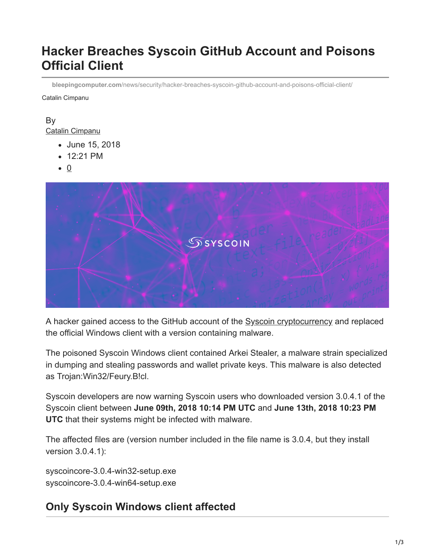# **Hacker Breaches Syscoin GitHub Account and Poisons Official Client**

**bleepingcomputer.com**[/news/security/hacker-breaches-syscoin-github-account-and-poisons-official-client/](https://www.bleepingcomputer.com/news/security/hacker-breaches-syscoin-github-account-and-poisons-official-client/)

Catalin Cimpanu

#### By [Catalin Cimpanu](https://www.bleepingcomputer.com/author/catalin-cimpanu/)

- June 15, 2018
- 12:21 PM
- $\bullet$  0



A hacker gained access to the GitHub account of the [Syscoin cryptocurrency](https://www.syscoin.org/) and replaced the official Windows client with a version containing malware.

The poisoned Syscoin Windows client contained Arkei Stealer, a malware strain specialized in dumping and stealing passwords and wallet private keys. This malware is also detected as Trojan:Win32/Feury.B!cl.

Syscoin developers are now warning Syscoin users who downloaded version 3.0.4.1 of the Syscoin client between **June 09th, 2018 10:14 PM UTC** and **June 13th, 2018 10:23 PM UTC** that their systems might be infected with malware.

The affected files are (version number included in the file name is 3.0.4, but they install version 3.0.4.1):

syscoincore-3.0.4-win32-setup.exe syscoincore-3.0.4-win64-setup.exe

## **Only Syscoin Windows client affected**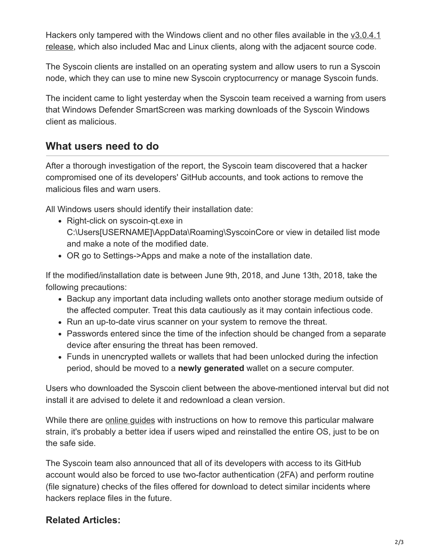[Hackers only tampered with the Windows client and no other files available in the v3.0.4.1](https://github.com/syscoin/syscoin/releases/tag/3.0.4.1) release, which also included Mac and Linux clients, along with the adjacent source code.

The Syscoin clients are installed on an operating system and allow users to run a Syscoin node, which they can use to mine new Syscoin cryptocurrency or manage Syscoin funds.

The incident came to light yesterday when the Syscoin team received a warning from users that Windows Defender SmartScreen was marking downloads of the Syscoin Windows client as malicious.

#### **What users need to do**

After a thorough investigation of the report, the Syscoin team discovered that a hacker compromised one of its developers' GitHub accounts, and took actions to remove the malicious files and warn users.

All Windows users should identify their installation date:

- Right-click on syscoin-qt exe in C:\Users[USERNAME]\AppData\Roaming\SyscoinCore or view in detailed list mode and make a note of the modified date.
- OR go to Settings->Apps and make a note of the installation date.

If the modified/installation date is between June 9th, 2018, and June 13th, 2018, take the following precautions:

- Backup any important data including wallets onto another storage medium outside of the affected computer. Treat this data cautiously as it may contain infectious code.
- Run an up-to-date virus scanner on your system to remove the threat.
- Passwords entered since the time of the infection should be changed from a separate device after ensuring the threat has been removed.
- Funds in unencrypted wallets or wallets that had been unlocked during the infection period, should be moved to a **newly generated** wallet on a secure computer.

Users who downloaded the Syscoin client between the above-mentioned interval but did not install it are advised to delete it and redownload a clean version.

While there are [online guides](https://www.bleepingcomputer.com/forums/t/648141/trojanwin32fuerybcl/) with instructions on how to remove this particular malware strain, it's probably a better idea if users wiped and reinstalled the entire OS, just to be on the safe side.

The Syscoin team also announced that all of its developers with access to its GitHub account would also be forced to use two-factor authentication (2FA) and perform routine (file signature) checks of the files offered for download to detect similar incidents where hackers replace files in the future.

#### **Related Articles:**